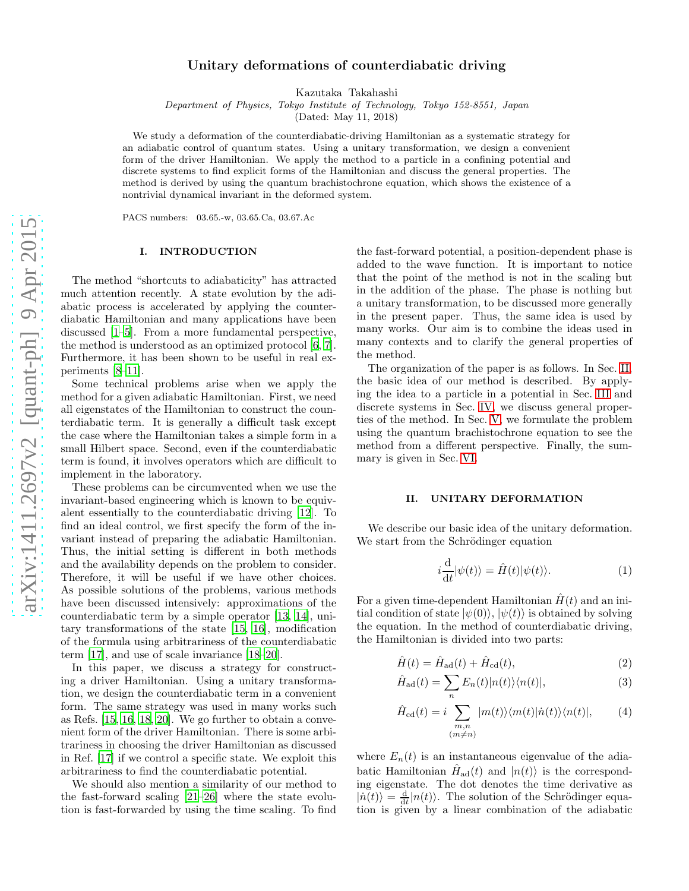# Unitary deformations of counterdiabatic driving

Kazutaka Takahashi

Department of Physics, Tokyo Institute of Technology, Tokyo 152-8551, Japan

(Dated: May 11, 2018)

We study a deformation of the counterdiabatic-driving Hamiltonian as a systematic strategy for an adiabatic control of quantum states. Using a unitary transformation, we design a convenient form of the driver Hamiltonian. We apply the method to a particle in a confining potential and discrete systems to find explicit forms of the Hamiltonian and discuss the general properties. The method is derived by using the quantum brachistochrone equation, which shows the existence of a nontrivial dynamical invariant in the deformed system.

PACS numbers: 03.65.-w, 03.65.Ca, 03.67.Ac

## I. INTRODUCTION

The method "shortcuts to adiabaticity" has attracted much attention recently. A state evolution by the adiabatic process is accelerated by applying the counterdiabatic Hamiltonian and many applications have been discussed [\[1](#page-8-0)[–5\]](#page-8-1). From a more fundamental perspective, the method is understood as an optimized protocol [\[6](#page-8-2), [7\]](#page-8-3). Furthermore, it has been shown to be useful in real experiments [\[8](#page-8-4)[–11\]](#page-8-5).

Some technical problems arise when we apply the method for a given adiabatic Hamiltonian. First, we need all eigenstates of the Hamiltonian to construct the counterdiabatic term. It is generally a difficult task except the case where the Hamiltonian takes a simple form in a small Hilbert space. Second, even if the counterdiabatic term is found, it involves operators which are difficult to implement in the laboratory.

These problems can be circumvented when we use the invariant-based engineering which is known to be equivalent essentially to the counterdiabatic driving [\[12](#page-8-6)]. To find an ideal control, we first specify the form of the invariant instead of preparing the adiabatic Hamiltonian. Thus, the initial setting is different in both methods and the availability depends on the problem to consider. Therefore, it will be useful if we have other choices. As possible solutions of the problems, various methods have been discussed intensively: approximations of the counterdiabatic term by a simple operator [\[13](#page-8-7), [14\]](#page-8-8), unitary transformations of the state [\[15,](#page-8-9) [16\]](#page-8-10), modification of the formula using arbitrariness of the counterdiabatic term [\[17\]](#page-8-11), and use of scale invariance [\[18](#page-8-12)[–20\]](#page-8-13).

In this paper, we discuss a strategy for constructing a driver Hamiltonian. Using a unitary transformation, we design the counterdiabatic term in a convenient form. The same strategy was used in many works such as Refs. [\[15,](#page-8-9) [16](#page-8-10), [18,](#page-8-12) [20\]](#page-8-13). We go further to obtain a convenient form of the driver Hamiltonian. There is some arbitrariness in choosing the driver Hamiltonian as discussed in Ref. [\[17\]](#page-8-11) if we control a specific state. We exploit this arbitrariness to find the counterdiabatic potential.

We should also mention a similarity of our method to the fast-forward scaling [\[21](#page-8-14)[–26](#page-8-15)] where the state evolution is fast-forwarded by using the time scaling. To find

the fast-forward potential, a position-dependent phase is added to the wave function. It is important to notice that the point of the method is not in the scaling but in the addition of the phase. The phase is nothing but a unitary transformation, to be discussed more generally in the present paper. Thus, the same idea is used by many works. Our aim is to combine the ideas used in many contexts and to clarify the general properties of the method.

The organization of the paper is as follows. In Sec. [II,](#page-0-0) the basic idea of our method is described. By applying the idea to a particle in a potential in Sec. [III](#page-1-0) and discrete systems in Sec. [IV,](#page-3-0) we discuss general properties of the method. In Sec. [V,](#page-5-0) we formulate the problem using the quantum brachistochrone equation to see the method from a different perspective. Finally, the summary is given in Sec. [VI.](#page-8-16)

### <span id="page-0-0"></span>II. UNITARY DEFORMATION

We describe our basic idea of the unitary deformation. We start from the Schrödinger equation

<span id="page-0-2"></span>
$$
i\frac{\mathrm{d}}{\mathrm{d}t}|\psi(t)\rangle = \hat{H}(t)|\psi(t)\rangle.
$$
 (1)

For a given time-dependent Hamiltonian  $\hat{H}(t)$  and an initial condition of state  $|\psi(0)\rangle$ ,  $|\psi(t)\rangle$  is obtained by solving the equation. In the method of counterdiabatic driving, the Hamiltonian is divided into two parts:

<span id="page-0-1"></span>
$$
\hat{H}(t) = \hat{H}_{\text{ad}}(t) + \hat{H}_{\text{cd}}(t),\tag{2}
$$

$$
\hat{H}_{\text{ad}}(t) = \sum_{n} E_n(t) |n(t)\rangle\langle n(t)|,
$$
\n(3)

$$
\hat{H}_{\text{cd}}(t) = i \sum_{\substack{m,n \\ (m \neq n)}} |m(t)\rangle \langle m(t)|\dot{n}(t)\rangle \langle n(t)|, \qquad (4)
$$

where  $E_n(t)$  is an instantaneous eigenvalue of the adiabatic Hamiltonian  $\hat{H}_{ad}(t)$  and  $|n(t)\rangle$  is the corresponding eigenstate. The dot denotes the time derivative as  $|n(t)\rangle = \frac{d}{dt} |n(t)\rangle$ . The solution of the Schrödinger equation is given by a linear combination of the adiabatic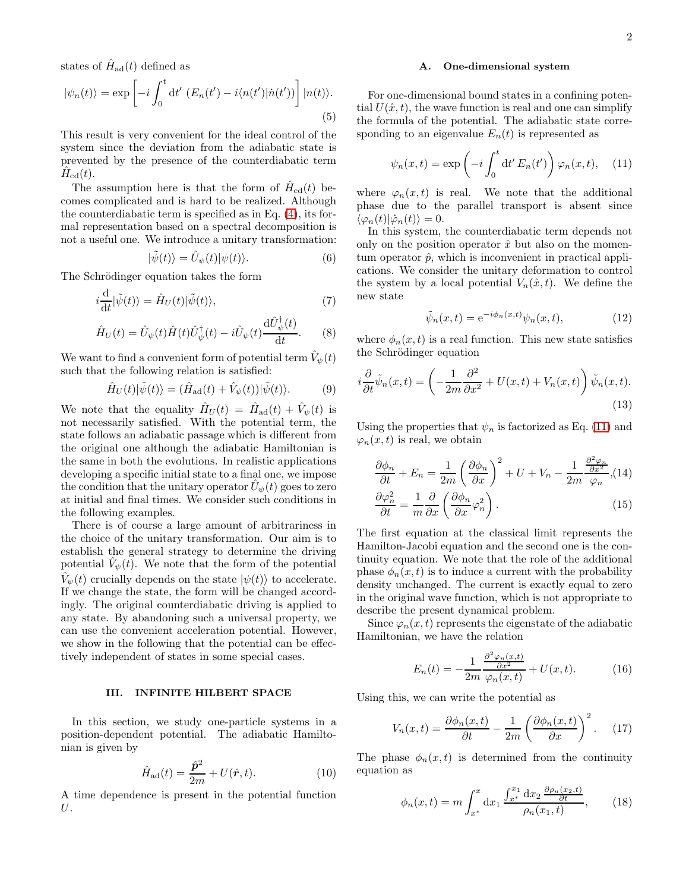states of  $\hat{H}_{\text{ad}}(t)$  defined as

$$
|\psi_n(t)\rangle = \exp\left[-i\int_0^t dt' \left(E_n(t') - i\langle n(t')|n(t')\right)\right]|n(t)\rangle.
$$
\n(5)

This result is very convenient for the ideal control of the system since the deviation from the adiabatic state is prevented by the presence of the counterdiabatic term  $\hat{H}_{\mathrm{cd}}(t)$ .

The assumption here is that the form of  $\hat{H}_{cd}(t)$  becomes complicated and is hard to be realized. Although the counterdiabatic term is specified as in Eq. [\(4\)](#page-0-1), its formal representation based on a spectral decomposition is not a useful one. We introduce a unitary transformation:

$$
|\tilde{\psi}(t)\rangle = \hat{U}_{\psi}(t)|\psi(t)\rangle.
$$
 (6)

The Schrödinger equation takes the form

$$
i\frac{\mathrm{d}}{\mathrm{d}t}|\tilde{\psi}(t)\rangle = \hat{H}_U(t)|\tilde{\psi}(t)\rangle,\tag{7}
$$

$$
\hat{H}_U(t) = \hat{U}_{\psi}(t)\hat{H}(t)\hat{U}_{\psi}^{\dagger}(t) - i\hat{U}_{\psi}(t)\frac{\mathrm{d}\hat{U}_{\psi}^{\dagger}(t)}{\mathrm{d}t}.
$$
 (8)

We want to find a convenient form of potential term  $\hat{V}_{\psi}(t)$ such that the following relation is satisfied:

$$
\hat{H}_U(t)|\tilde{\psi}(t)\rangle = (\hat{H}_{\text{ad}}(t) + \hat{V}_{\psi}(t))|\tilde{\psi}(t)\rangle.
$$
 (9)

We note that the equality  $\hat{H}_U(t) = \hat{H}_{ad}(t) + \hat{V}_{\psi}(t)$  is not necessarily satisfied. With the potential term, the state follows an adiabatic passage which is different from the original one although the adiabatic Hamiltonian is the same in both the evolutions. In realistic applications developing a specific initial state to a final one, we impose the condition that the unitary operator  $\hat{U}_{\psi}(t)$  goes to zero at initial and final times. We consider such conditions in the following examples.

There is of course a large amount of arbitrariness in the choice of the unitary transformation. Our aim is to establish the general strategy to determine the driving potential  $\hat{V}_{\psi}(\vec{t})$ . We note that the form of the potential  $\hat{V}_{\psi}(t)$  crucially depends on the state  $|\psi(t)\rangle$  to accelerate. If we change the state, the form will be changed accordingly. The original counterdiabatic driving is applied to any state. By abandoning such a universal property, we can use the convenient acceleration potential. However, we show in the following that the potential can be effectively independent of states in some special cases.

## <span id="page-1-0"></span>III. INFINITE HILBERT SPACE

In this section, we study one-particle systems in a position-dependent potential. The adiabatic Hamiltonian is given by

$$
\hat{H}_{\rm ad}(t) = \frac{\hat{\mathbf{p}}^2}{2m} + U(\hat{\mathbf{r}}, t). \tag{10}
$$

A time dependence is present in the potential function U.

#### A. One-dimensional system

For one-dimensional bound states in a confining potential  $U(\hat{x}, t)$ , the wave function is real and one can simplify the formula of the potential. The adiabatic state corresponding to an eigenvalue  $E_n(t)$  is represented as

<span id="page-1-1"></span>
$$
\psi_n(x,t) = \exp\left(-i \int_0^t dt' E_n(t')\right) \varphi_n(x,t), \quad (11)
$$

where  $\varphi_n(x,t)$  is real. We note that the additional phase due to the parallel transport is absent since  $\langle \varphi_n(t)|\dot{\varphi}_n(t)\rangle = 0.$ 

In this system, the counterdiabatic term depends not only on the position operator  $\hat{x}$  but also on the momentum operator  $\hat{p}$ , which is inconvenient in practical applications. We consider the unitary deformation to control the system by a local potential  $V_n(\hat{x}, t)$ . We define the new state

<span id="page-1-3"></span>
$$
\tilde{\psi}_n(x,t) = e^{-i\phi_n(x,t)} \psi_n(x,t),\tag{12}
$$

where  $\phi_n(x, t)$  is a real function. This new state satisfies the Schrödinger equation

$$
i\frac{\partial}{\partial t}\tilde{\psi}_n(x,t) = \left(-\frac{1}{2m}\frac{\partial^2}{\partial x^2} + U(x,t) + V_n(x,t)\right)\tilde{\psi}_n(x,t).
$$
\n(13)

Using the properties that  $\psi_n$  is factorized as Eq. [\(11\)](#page-1-1) and  $\varphi_n(x,t)$  is real, we obtain

$$
\frac{\partial \phi_n}{\partial t} + E_n = \frac{1}{2m} \left( \frac{\partial \phi_n}{\partial x} \right)^2 + U + V_n - \frac{1}{2m} \frac{\frac{\partial^2 \phi_n}{\partial x^2}}{\phi_n}, (14)
$$

$$
\frac{\partial \varphi_n^2}{\partial t} = \frac{1}{m} \frac{\partial}{\partial x} \left( \frac{\partial \phi_n}{\partial x} \varphi_n^2 \right).
$$
(15)

The first equation at the classical limit represents the Hamilton-Jacobi equation and the second one is the continuity equation. We note that the role of the additional phase  $\phi_n(x, t)$  is to induce a current with the probability density unchanged. The current is exactly equal to zero in the original wave function, which is not appropriate to describe the present dynamical problem.

Since  $\varphi_n(x,t)$  represents the eigenstate of the adiabatic Hamiltonian, we have the relation

$$
E_n(t) = -\frac{1}{2m} \frac{\frac{\partial^2 \varphi_n(x,t)}{\partial x^2}}{\varphi_n(x,t)} + U(x,t). \tag{16}
$$

Using this, we can write the potential as

<span id="page-1-2"></span>
$$
V_n(x,t) = \frac{\partial \phi_n(x,t)}{\partial t} - \frac{1}{2m} \left( \frac{\partial \phi_n(x,t)}{\partial x} \right)^2.
$$
 (17)

The phase  $\phi_n(x,t)$  is determined from the continuity equation as

$$
\phi_n(x,t) = m \int_{x^*}^x dx_1 \frac{\int_{x^*}^{x_1} dx_2 \frac{\partial \rho_n(x_2,t)}{\partial t}}{\rho_n(x_1,t)},
$$
(18)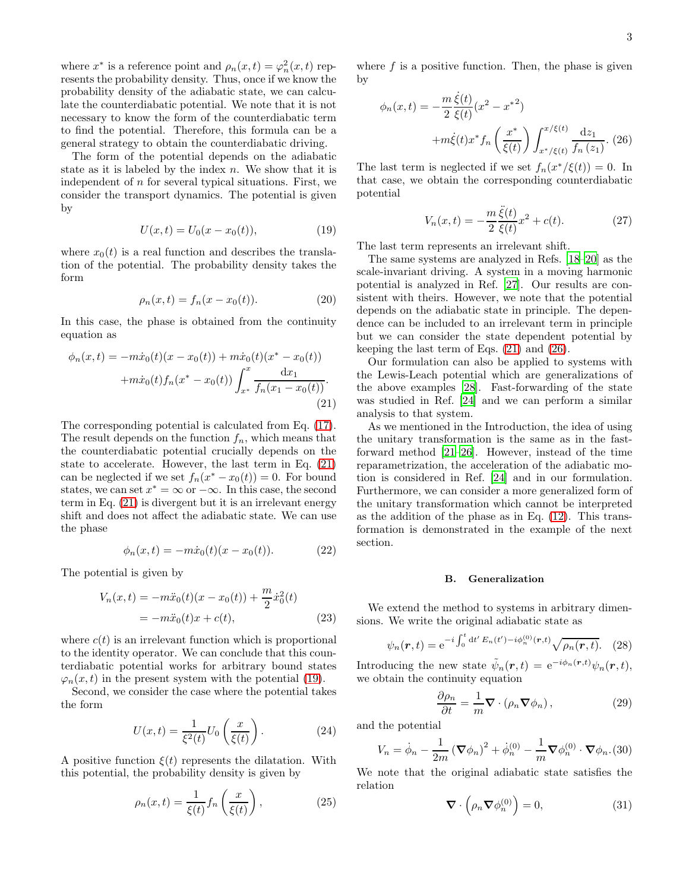where  $x^*$  is a reference point and  $\rho_n(x,t) = \varphi_n^2(x,t)$  represents the probability density. Thus, once if we know the probability density of the adiabatic state, we can calculate the counterdiabatic potential. We note that it is not necessary to know the form of the counterdiabatic term to find the potential. Therefore, this formula can be a general strategy to obtain the counterdiabatic driving.

The form of the potential depends on the adiabatic state as it is labeled by the index  $n$ . We show that it is independent of  $n$  for several typical situations. First, we consider the transport dynamics. The potential is given by

<span id="page-2-1"></span>
$$
U(x,t) = U_0(x - x_0(t)),
$$
\n(19)

where  $x_0(t)$  is a real function and describes the translation of the potential. The probability density takes the form

$$
\rho_n(x,t) = f_n(x - x_0(t)).
$$
\n(20)

In this case, the phase is obtained from the continuity equation as

<span id="page-2-0"></span>
$$
\phi_n(x,t) = -m\dot{x}_0(t)(x - x_0(t)) + m\dot{x}_0(t)(x^* - x_0(t))
$$

$$
+m\dot{x}_0(t)f_n(x^* - x_0(t))\int_{x^*}^x \frac{dx_1}{f_n(x_1 - x_0(t))}.
$$
\n(21)

The corresponding potential is calculated from Eq. [\(17\)](#page-1-2). The result depends on the function  $f_n$ , which means that the counterdiabatic potential crucially depends on the state to accelerate. However, the last term in Eq. [\(21\)](#page-2-0) can be neglected if we set  $f_n(x^* - x_0(t)) = 0$ . For bound states, we can set  $x^* = \infty$  or  $-\infty$ . In this case, the second term in Eq. [\(21\)](#page-2-0) is divergent but it is an irrelevant energy shift and does not affect the adiabatic state. We can use the phase

$$
\phi_n(x,t) = -m\dot{x}_0(t)(x - x_0(t)).
$$
\n(22)

The potential is given by

$$
V_n(x,t) = -m\ddot{x}_0(t)(x - x_0(t)) + \frac{m}{2}\dot{x}_0^2(t)
$$
  
=  $-m\ddot{x}_0(t)x + c(t)$ , (23)

where  $c(t)$  is an irrelevant function which is proportional to the identity operator. We can conclude that this counterdiabatic potential works for arbitrary bound states  $\varphi_n(x,t)$  in the present system with the potential [\(19\)](#page-2-1).

Second, we consider the case where the potential takes the form

$$
U(x,t) = \frac{1}{\xi^2(t)} U_0\left(\frac{x}{\xi(t)}\right). \tag{24}
$$

A positive function  $\xi(t)$  represents the dilatation. With this potential, the probability density is given by

$$
\rho_n(x,t) = \frac{1}{\xi(t)} f_n\left(\frac{x}{\xi(t)}\right),\tag{25}
$$

where  $f$  is a positive function. Then, the phase is given by

<span id="page-2-2"></span>
$$
\phi_n(x,t) = -\frac{m \xi(t)}{2 \xi(t)} (x^2 - x^{*2})
$$

$$
+m\xi(t)x^* f_n\left(\frac{x^*}{\xi(t)}\right) \int_{x^*/\xi(t)}^{x/\xi(t)} \frac{dz_1}{f_n(z_1)}.
$$
 (26)

The last term is neglected if we set  $f_n(x^*/\xi(t)) = 0$ . In that case, we obtain the corresponding counterdiabatic potential

$$
V_n(x,t) = -\frac{m}{2} \frac{\ddot{\xi}(t)}{\xi(t)} x^2 + c(t).
$$
 (27)

The last term represents an irrelevant shift.

The same systems are analyzed in Refs. [\[18](#page-8-12)[–20](#page-8-13)] as the scale-invariant driving. A system in a moving harmonic potential is analyzed in Ref. [\[27\]](#page-8-17). Our results are consistent with theirs. However, we note that the potential depends on the adiabatic state in principle. The dependence can be included to an irrelevant term in principle but we can consider the state dependent potential by keeping the last term of Eqs. [\(21\)](#page-2-0) and [\(26\)](#page-2-2).

Our formulation can also be applied to systems with the Lewis-Leach potential which are generalizations of the above examples [\[28\]](#page-8-18). Fast-forwarding of the state was studied in Ref. [\[24](#page-8-19)] and we can perform a similar analysis to that system.

As we mentioned in the Introduction, the idea of using the unitary transformation is the same as in the fastforward method [\[21](#page-8-14)[–26\]](#page-8-15). However, instead of the time reparametrization, the acceleration of the adiabatic motion is considered in Ref. [\[24\]](#page-8-19) and in our formulation. Furthermore, we can consider a more generalized form of the unitary transformation which cannot be interpreted as the addition of the phase as in Eq. [\(12\)](#page-1-3). This transformation is demonstrated in the example of the next section.

#### B. Generalization

We extend the method to systems in arbitrary dimensions. We write the original adiabatic state as

$$
\psi_n(\mathbf{r},t) = e^{-i\int_0^t dt' E_n(t') - i\phi_n^{(0)}(\mathbf{r},t)} \sqrt{\rho_n(\mathbf{r},t)}.
$$
 (28)

Introducing the new state  $\tilde{\psi}_n(\mathbf{r},t) = e^{-i\phi_n(\mathbf{r},t)} \psi_n(\mathbf{r},t),$ we obtain the continuity equation

<span id="page-2-3"></span>
$$
\frac{\partial \rho_n}{\partial t} = \frac{1}{m} \nabla \cdot (\rho_n \nabla \phi_n), \qquad (29)
$$

and the potential

<span id="page-2-4"></span>
$$
V_n = \dot{\phi}_n - \frac{1}{2m} \left( \mathbf{\nabla} \phi_n \right)^2 + \dot{\phi}_n^{(0)} - \frac{1}{m} \mathbf{\nabla} \phi_n^{(0)} \cdot \mathbf{\nabla} \phi_n \tag{30}
$$

We note that the original adiabatic state satisfies the relation

$$
\nabla \cdot \left(\rho_n \nabla \phi_n^{(0)}\right) = 0,\tag{31}
$$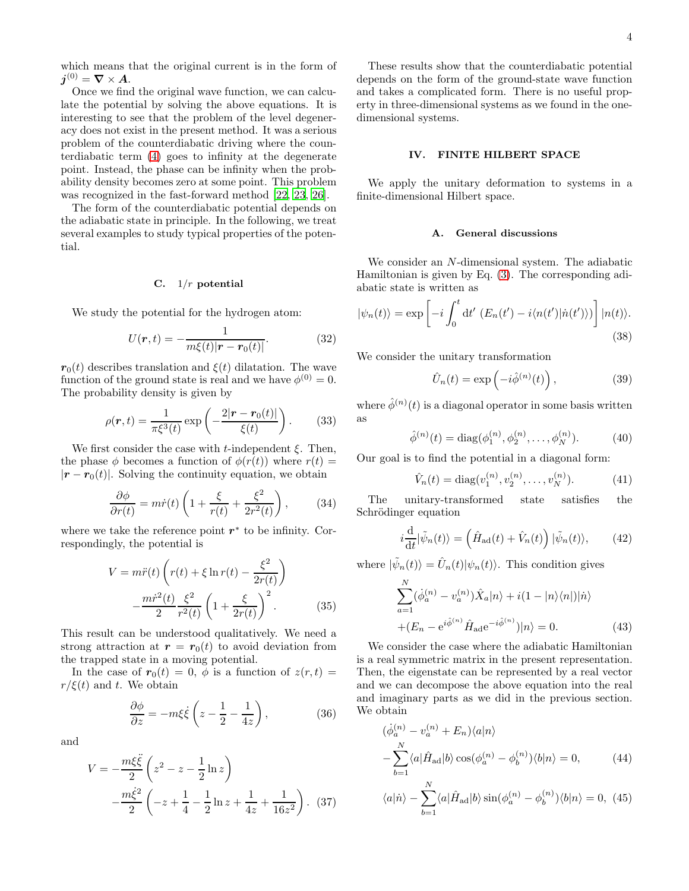which means that the original current is in the form of  $\boldsymbol{j}^{(0)} = \boldsymbol{\nabla} \times \boldsymbol{A}.$ 

Once we find the original wave function, we can calculate the potential by solving the above equations. It is interesting to see that the problem of the level degeneracy does not exist in the present method. It was a serious problem of the counterdiabatic driving where the counterdiabatic term [\(4\)](#page-0-1) goes to infinity at the degenerate point. Instead, the phase can be infinity when the probability density becomes zero at some point. This problem was recognized in the fast-forward method [\[22](#page-8-20), [23,](#page-8-21) [26\]](#page-8-15).

The form of the counterdiabatic potential depends on the adiabatic state in principle. In the following, we treat several examples to study typical properties of the potential.

### C.  $1/r$  potential

We study the potential for the hydrogen atom:

$$
U(r,t) = -\frac{1}{m\xi(t)|r - r_0(t)|}.
$$
 (32)

 $r_0(t)$  describes translation and  $\xi(t)$  dilatation. The wave function of the ground state is real and we have  $\phi^{(0)} = 0$ . The probability density is given by

$$
\rho(\mathbf{r},t) = \frac{1}{\pi \xi^3(t)} \exp\left(-\frac{2|\mathbf{r} - \mathbf{r}_0(t)|}{\xi(t)}\right). \tag{33}
$$

We first consider the case with t-independent  $\xi$ . Then, the phase  $\phi$  becomes a function of  $\phi(r(t))$  where  $r(t)$  =  $|r - r_0(t)|$ . Solving the continuity equation, we obtain

$$
\frac{\partial \phi}{\partial r(t)} = m\dot{r}(t) \left( 1 + \frac{\xi}{r(t)} + \frac{\xi^2}{2r^2(t)} \right), \quad (34)
$$

where we take the reference point  $r^*$  to be infinity. Correspondingly, the potential is

$$
V = m\ddot{r}(t)\left(r(t) + \xi \ln r(t) - \frac{\xi^2}{2r(t)}\right) - \frac{m\dot{r}^2(t)}{2}\frac{\xi^2}{r^2(t)}\left(1 + \frac{\xi}{2r(t)}\right)^2.
$$
 (35)

This result can be understood qualitatively. We need a strong attraction at  $r = r_0(t)$  to avoid deviation from the trapped state in a moving potential.

In the case of  $r_0(t) = 0$ ,  $\phi$  is a function of  $z(r, t) =$  $r/\xi(t)$  and t. We obtain

$$
\frac{\partial \phi}{\partial z} = -m\xi \dot{\xi} \left( z - \frac{1}{2} - \frac{1}{4z} \right),\tag{36}
$$

and

$$
V = -\frac{m\xi\ddot{\xi}}{2} \left( z^2 - z - \frac{1}{2} \ln z \right)
$$

$$
-\frac{m\dot{\xi}^2}{2} \left( -z + \frac{1}{4} - \frac{1}{2} \ln z + \frac{1}{4z} + \frac{1}{16z^2} \right). (37)
$$

These results show that the counterdiabatic potential depends on the form of the ground-state wave function and takes a complicated form. There is no useful property in three-dimensional systems as we found in the onedimensional systems.

### <span id="page-3-0"></span>IV. FINITE HILBERT SPACE

We apply the unitary deformation to systems in a finite-dimensional Hilbert space.

### A. General discussions

We consider an N-dimensional system. The adiabatic Hamiltonian is given by Eq. [\(3\)](#page-0-1). The corresponding adiabatic state is written as

$$
|\psi_n(t)\rangle = \exp\left[-i\int_0^t dt' \left(E_n(t') - i\langle n(t')|n(t')\rangle\right)\right]|n(t)\rangle.
$$
\n(38)

We consider the unitary transformation

$$
\hat{U}_n(t) = \exp\left(-i\hat{\phi}^{(n)}(t)\right),\tag{39}
$$

where  $\hat{\phi}^{(n)}(t)$  is a diagonal operator in some basis written as

<span id="page-3-1"></span>
$$
\hat{\phi}^{(n)}(t) = \text{diag}(\phi_1^{(n)}, \phi_2^{(n)}, \dots, \phi_N^{(n)}). \tag{40}
$$

Our goal is to find the potential in a diagonal form:

$$
\hat{V}_n(t) = \text{diag}(v_1^{(n)}, v_2^{(n)}, \dots, v_N^{(n)}). \tag{41}
$$

The unitary-transformed state satisfies the Schrödinger equation

$$
i\frac{\mathrm{d}}{\mathrm{d}t}|\tilde{\psi}_n(t)\rangle = \left(\hat{H}_{\mathrm{ad}}(t) + \hat{V}_n(t)\right)|\tilde{\psi}_n(t)\rangle, \qquad (42)
$$

where  $|\tilde{\psi}_n(t)\rangle = \hat{U}_n(t)|\psi_n(t)\rangle$ . This condition gives

$$
\sum_{a=1}^{N} (\dot{\phi}_a^{(n)} - v_a^{(n)}) \hat{X}_a |n\rangle + i(1 - |n\rangle\langle n|) |n\rangle
$$
  
+(E<sub>n</sub> - e<sup>i\hat{\phi}^{(n)}\hat{H}\_{ad}e^{-i\hat{\phi}^{(n)}}) |n\rangle = 0. (43)</sup>

We consider the case where the adiabatic Hamiltonian is a real symmetric matrix in the present representation. Then, the eigenstate can be represented by a real vector and we can decompose the above equation into the real and imaginary parts as we did in the previous section. We obtain

$$
\begin{aligned}\n(\dot{\phi}_a^{(n)} - v_a^{(n)} + E_n) \langle a | n \rangle \\
-\sum_{b=1}^N \langle a | \hat{H}_{\text{ad}} | b \rangle \cos(\phi_a^{(n)} - \phi_b^{(n)}) \langle b | n \rangle = 0,\n\end{aligned} \tag{44}
$$

$$
\langle a|\dot{n}\rangle - \sum_{b=1}^{N} \langle a|\hat{H}_{\text{ad}}|b\rangle \sin(\phi_a^{(n)} - \phi_b^{(n)})\langle b|n\rangle = 0, \ (45)
$$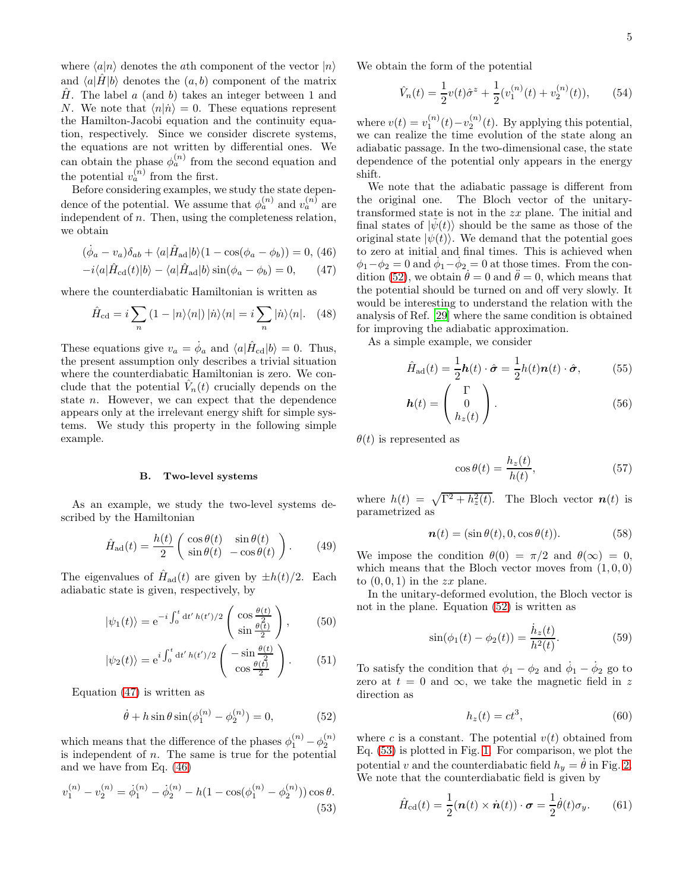where  $\langle a|n \rangle$  denotes the *ath* component of the vector  $|n \rangle$ and  $\langle a|H|b \rangle$  denotes the  $(a, b)$  component of the matrix  $\hat{H}$ . The label a (and b) takes an integer between 1 and N. We note that  $\langle n|\dot{n}\rangle = 0$ . These equations represent the Hamilton-Jacobi equation and the continuity equation, respectively. Since we consider discrete systems, the equations are not written by differential ones. We can obtain the phase  $\phi_a^{(n)}$  from the second equation and the potential  $v_a^{(n)}$  from the first.

Before considering examples, we study the state dependence of the potential. We assume that  $\phi_a^{(n)}$  and  $v_a^{(n)}$  are independent of  $n$ . Then, using the completeness relation, we obtain

<span id="page-4-0"></span>
$$
(\dot{\phi}_a - v_a)\delta_{ab} + \langle a|\hat{H}_{\text{ad}}|b\rangle(1 - \cos(\phi_a - \phi_b)) = 0, (46)
$$

$$
-i\langle a|\hat{H}_{\text{cd}}(t)|b\rangle - \langle a|\hat{H}_{\text{ad}}|b\rangle\sin(\phi_a - \phi_b) = 0, \qquad (47)
$$

where the counterdiabatic Hamiltonian is written as

$$
\hat{H}_{\text{cd}} = i \sum_{n} (1 - |n\rangle\langle n|) |\dot{n}\rangle\langle n| = i \sum_{n} |\dot{n}\rangle\langle n|. \quad (48)
$$

These equations give  $v_a = \dot{\phi}_a$  and  $\langle a | \hat{H}_{\text{cd}} | b \rangle = 0$ . Thus, the present assumption only describes a trivial situation where the counterdiabatic Hamiltonian is zero. We conclude that the potential  $\hat{V}_n(t)$  crucially depends on the state n. However, we can expect that the dependence appears only at the irrelevant energy shift for simple systems. We study this property in the following simple example.

### <span id="page-4-6"></span>B. Two-level systems

As an example, we study the two-level systems described by the Hamiltonian

<span id="page-4-7"></span>
$$
\hat{H}_{\rm ad}(t) = \frac{h(t)}{2} \begin{pmatrix} \cos \theta(t) & \sin \theta(t) \\ \sin \theta(t) & -\cos \theta(t) \end{pmatrix} . \tag{49}
$$

The eigenvalues of  $\hat{H}_{ad}(t)$  are given by  $\pm h(t)/2$ . Each adiabatic state is given, respectively, by

<span id="page-4-8"></span>
$$
|\psi_1(t)\rangle = e^{-i\int_0^t dt' h(t')/2} \begin{pmatrix} \cos\frac{\theta(t)}{2} \\ \sin\frac{\theta(t)}{2} \end{pmatrix},
$$
 (50)

$$
|\psi_2(t)\rangle = e^{i\int_0^t dt' h(t')/2} \begin{pmatrix} -\sin\frac{\theta(t)}{2} \\ \cos\frac{\theta(t)}{2} \end{pmatrix} . \tag{51}
$$

Equation [\(47\)](#page-4-0) is written as

<span id="page-4-1"></span>
$$
\dot{\theta} + h\sin\theta\sin(\phi_1^{(n)} - \phi_2^{(n)}) = 0,\tag{52}
$$

which means that the difference of the phases  $\phi_1^{(n)} - \phi_2^{(n)}$ is independent of  $n$ . The same is true for the potential and we have from Eq. [\(46\)](#page-4-0)

<span id="page-4-2"></span>
$$
v_1^{(n)} - v_2^{(n)} = \dot{\phi}_1^{(n)} - \dot{\phi}_2^{(n)} - h(1 - \cos(\phi_1^{(n)} - \phi_2^{(n)}))\cos\theta.
$$
\n(53)

We obtain the form of the potential

$$
\hat{V}_n(t) = \frac{1}{2}v(t)\hat{\sigma}^z + \frac{1}{2}(v_1^{(n)}(t) + v_2^{(n)}(t)),\qquad(54)
$$

where  $v(t) = v_1^{(n)}(t) - v_2^{(n)}(t)$ . By applying this potential, we can realize the time evolution of the state along an adiabatic passage. In the two-dimensional case, the state dependence of the potential only appears in the energy shift.

We note that the adiabatic passage is different from the original one. The Bloch vector of the unitarytransformed state is not in the zx plane. The initial and final states of  $|\psi(t)\rangle$  should be the same as those of the original state  $|\psi(t)\rangle$ . We demand that the potential goes to zero at initial and final times. This is achieved when  $\phi_1 - \phi_2 = 0$  and  $\dot{\phi}_1 - \dot{\phi}_2 = 0$  at those times. From the con-dition [\(52\)](#page-4-1), we obtain  $\dot{\theta} = 0$  and  $\ddot{\theta} = 0$ , which means that the potential should be turned on and off very slowly. It would be interesting to understand the relation with the analysis of Ref. [\[29\]](#page-8-22) where the same condition is obtained for improving the adiabatic approximation.

As a simple example, we consider

$$
\hat{H}_{\text{ad}}(t) = \frac{1}{2}\boldsymbol{h}(t) \cdot \hat{\boldsymbol{\sigma}} = \frac{1}{2}h(t)\boldsymbol{n}(t) \cdot \hat{\boldsymbol{\sigma}},\tag{55}
$$

$$
h(t) = \left(\begin{array}{c} 0 \\ h_z(t) \end{array}\right). \tag{56}
$$

 $\theta(t)$  is represented as

$$
\cos \theta(t) = \frac{h_z(t)}{h(t)},\tag{57}
$$

where  $h(t) = \sqrt{\Gamma^2 + h_z^2(t)}$ . The Bloch vector  $n(t)$  is parametrized as

$$
\mathbf{n}(t) = (\sin \theta(t), 0, \cos \theta(t)). \tag{58}
$$

We impose the condition  $\theta(0) = \pi/2$  and  $\theta(\infty) = 0$ , which means that the Bloch vector moves from  $(1, 0, 0)$ to  $(0, 0, 1)$  in the zx plane.

In the unitary-deformed evolution, the Bloch vector is not in the plane. Equation [\(52\)](#page-4-1) is written as

<span id="page-4-3"></span>
$$
\sin(\phi_1(t) - \phi_2(t)) = \frac{\dot{h}_z(t)}{h^2(t)}.
$$
 (59)

To satisfy the condition that  $\phi_1 - \phi_2$  and  $\dot{\phi}_1 - \dot{\phi}_2$  go to zero at  $t = 0$  and  $\infty$ , we take the magnetic field in z direction as

<span id="page-4-4"></span>
$$
h_z(t) = ct^3,
$$
\n(60)

where c is a constant. The potential  $v(t)$  obtained from Eq. [\(53\)](#page-4-2) is plotted in Fig. [1.](#page-5-1) For comparison, we plot the potential v and the counterdiabatic field  $h_y = \dot{\theta}$  in Fig. [2.](#page-5-2) We note that the counterdiabatic field is given by

<span id="page-4-5"></span>
$$
\hat{H}_{\text{cd}}(t) = \frac{1}{2}(\boldsymbol{n}(t) \times \dot{\boldsymbol{n}}(t)) \cdot \boldsymbol{\sigma} = \frac{1}{2}\dot{\theta}(t)\sigma_y.
$$
 (61)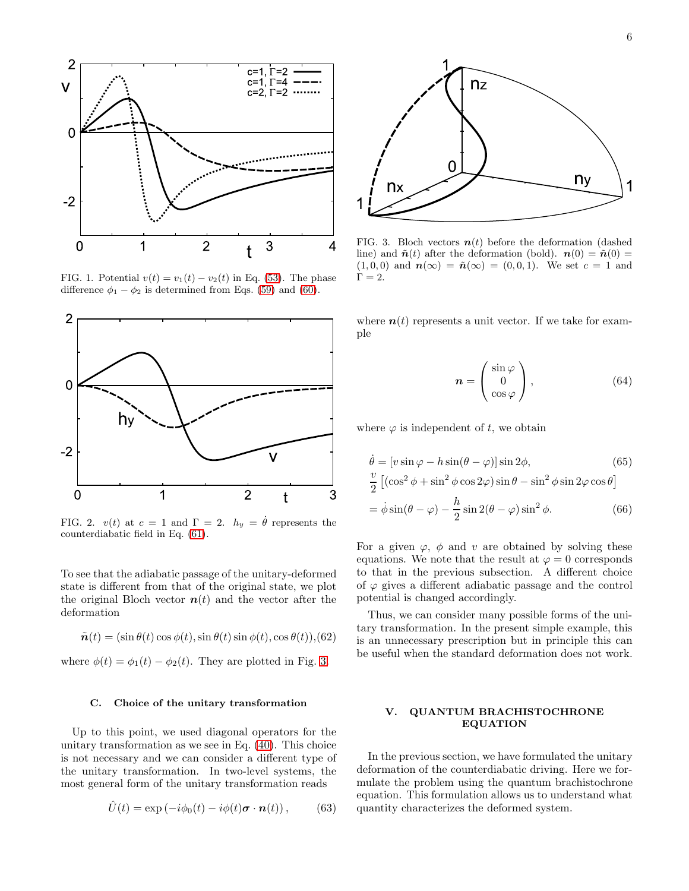

<span id="page-5-1"></span>FIG. 1. Potential  $v(t) = v_1(t) - v_2(t)$  in Eq. [\(53\)](#page-4-2). The phase difference  $\phi_1 - \phi_2$  is determined from Eqs. [\(59\)](#page-4-3) and [\(60\)](#page-4-4).



<span id="page-5-2"></span>FIG. 2.  $v(t)$  at  $c = 1$  and  $\Gamma = 2$ .  $h_y = \dot{\theta}$  represents the counterdiabatic field in Eq. [\(61\)](#page-4-5).

To see that the adiabatic passage of the unitary-deformed state is different from that of the original state, we plot the original Bloch vector  $n(t)$  and the vector after the deformation

$$
\tilde{\boldsymbol{n}}(t) = (\sin \theta(t) \cos \phi(t), \sin \theta(t) \sin \phi(t), \cos \theta(t)), (62)
$$

where  $\phi(t) = \phi_1(t) - \phi_2(t)$ . They are plotted in Fig. [3.](#page-5-3)

#### C. Choice of the unitary transformation

Up to this point, we used diagonal operators for the unitary transformation as we see in Eq. [\(40\)](#page-3-1). This choice is not necessary and we can consider a different type of the unitary transformation. In two-level systems, the most general form of the unitary transformation reads

$$
\hat{U}(t) = \exp(-i\phi_0(t) - i\phi(t)\boldsymbol{\sigma} \cdot \boldsymbol{n}(t)), \quad (63)
$$



<span id="page-5-3"></span>FIG. 3. Bloch vectors  $n(t)$  before the deformation (dashed line) and  $\tilde{\boldsymbol{n}}(t)$  after the deformation (bold).  $\boldsymbol{n}(0) = \tilde{\boldsymbol{n}}(0) =$  $(1, 0, 0)$  and  $n(\infty) = \tilde{n}(\infty) = (0, 0, 1)$ . We set  $c = 1$  and  $\Gamma = 2$ .

where  $n(t)$  represents a unit vector. If we take for example

$$
\boldsymbol{n} = \begin{pmatrix} \sin \varphi \\ 0 \\ \cos \varphi \end{pmatrix}, \tag{64}
$$

where  $\varphi$  is independent of t, we obtain

$$
\dot{\theta} = [v \sin \varphi - h \sin(\theta - \varphi)] \sin 2\phi, \qquad (65)
$$
  

$$
\frac{v}{2} [(\cos^2 \phi + \sin^2 \phi \cos 2\varphi) \sin \theta - \sin^2 \phi \sin 2\varphi \cos \theta]
$$
  

$$
= \dot{\phi} \sin(\theta - \varphi) - \frac{h}{2} \sin 2(\theta - \varphi) \sin^2 \phi.
$$
 (66)

For a given  $\varphi$ ,  $\phi$  and v are obtained by solving these equations. We note that the result at  $\varphi = 0$  corresponds to that in the previous subsection. A different choice of  $\varphi$  gives a different adiabatic passage and the control potential is changed accordingly.

Thus, we can consider many possible forms of the unitary transformation. In the present simple example, this is an unnecessary prescription but in principle this can be useful when the standard deformation does not work.

## <span id="page-5-0"></span>V. QUANTUM BRACHISTOCHRONE EQUATION

In the previous section, we have formulated the unitary deformation of the counterdiabatic driving. Here we formulate the problem using the quantum brachistochrone equation. This formulation allows us to understand what quantity characterizes the deformed system.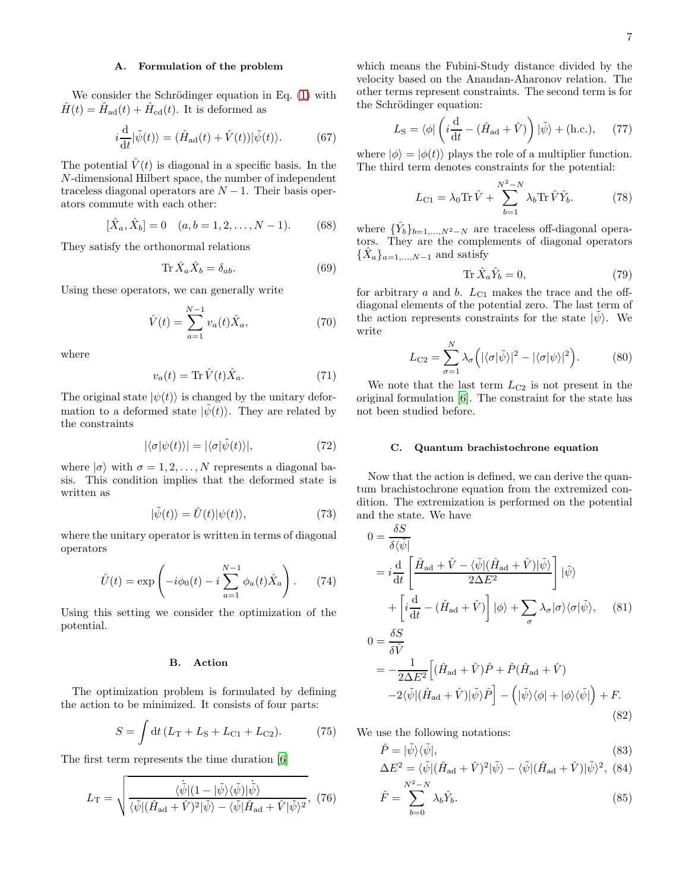## A. Formulation of the problem

We consider the Schrödinger equation in Eq.  $(1)$  with  $\hat{H}(t) = \hat{H}_{ad}(t) + \hat{H}_{cd}(t)$ . It is deformed as

$$
i\frac{\mathrm{d}}{\mathrm{d}t}|\tilde{\psi}(t)\rangle = (\hat{H}_{\mathrm{ad}}(t) + \hat{V}(t))|\tilde{\psi}(t)\rangle.
$$
 (67)

The potential  $\hat{V}(t)$  is diagonal in a specific basis. In the N-dimensional Hilbert space, the number of independent traceless diagonal operators are  $N - 1$ . Their basis operators commute with each other:

$$
[\hat{X}_a, \hat{X}_b] = 0 \quad (a, b = 1, 2, \dots, N - 1). \tag{68}
$$

They satisfy the orthonormal relations

$$
\operatorname{Tr}\hat{X}_a \hat{X}_b = \delta_{ab}.\tag{69}
$$

Using these operators, we can generally write

$$
\hat{V}(t) = \sum_{a=1}^{N-1} v_a(t)\hat{X}_a,
$$
\n(70)

where

$$
v_a(t) = \text{Tr}\,\hat{V}(t)\hat{X}_a. \tag{71}
$$

The original state  $|\psi(t)\rangle$  is changed by the unitary deformation to a deformed state  $|\psi(t)\rangle$ . They are related by the constraints

$$
|\langle \sigma | \psi(t) \rangle| = |\langle \sigma | \tilde{\psi}(t) \rangle|, \tag{72}
$$

where  $|\sigma\rangle$  with  $\sigma = 1, 2, \ldots, N$  represents a diagonal basis. This condition implies that the deformed state is written as

$$
|\tilde{\psi}(t)\rangle = \hat{U}(t)|\psi(t)\rangle, \tag{73}
$$

where the unitary operator is written in terms of diagonal operators

$$
\hat{U}(t) = \exp\left(-i\phi_0(t) - i\sum_{a=1}^{N-1} \phi_a(t)\hat{X}_a\right).
$$
 (74)

Using this setting we consider the optimization of the potential.

### B. Action

The optimization problem is formulated by defining the action to be minimized. It consists of four parts:

$$
S = \int dt (L_{\rm T} + L_{\rm S} + L_{\rm C1} + L_{\rm C2}).
$$
 (75)

The first term represents the time duration [\[6\]](#page-8-2)

$$
L_{\rm T} = \sqrt{\frac{\langle \dot{\tilde{\psi}} | (1 - | \tilde{\psi} \rangle \langle \tilde{\psi} |) | \dot{\tilde{\psi}} \rangle}{\langle \tilde{\psi} | (\hat{H}_{\rm ad} + \hat{V})^2 | \tilde{\psi} \rangle - \langle \tilde{\psi} | \hat{H}_{\rm ad} + \hat{V} | \tilde{\psi} \rangle^2}}, (76)
$$

which means the Fubini-Study distance divided by the velocity based on the Anandan-Aharonov relation. The other terms represent constraints. The second term is for the Schrödinger equation:

$$
L_{\rm S} = \langle \phi | \left( i \frac{\mathrm{d}}{\mathrm{d}t} - (\hat{H}_{\rm ad} + \hat{V}) \right) | \tilde{\psi} \rangle + (\text{h.c.}), \quad (77)
$$

where  $|\phi\rangle = |\phi(t)\rangle$  plays the role of a multiplier function. The third term denotes constraints for the potential:

$$
L_{\text{C1}} = \lambda_0 \text{Tr} \,\hat{V} + \sum_{b=1}^{N^2 - N} \lambda_b \text{Tr} \,\hat{V} \hat{Y}_b. \tag{78}
$$

where  $\{\hat{Y}_b\}_{b=1,\ldots,N^2-N}$  are traceless off-diagonal operators. They are the complements of diagonal operators  $\{\hat{X}_a\}_{a=1,\dots,N-1}$  and satisfy

$$
\operatorname{Tr}\hat{X}_a \hat{Y}_b = 0,\t(79)
$$

for arbitrary  $a$  and  $b$ .  $L_{C1}$  makes the trace and the offdiagonal elements of the potential zero. The last term of the action represents constraints for the state  $|\psi\rangle$ . We write

<span id="page-6-1"></span>
$$
L_{\rm C2} = \sum_{\sigma=1}^{N} \lambda_{\sigma} \left( |\langle \sigma | \tilde{\psi} \rangle|^2 - |\langle \sigma | \psi \rangle|^2 \right).
$$
 (80)

We note that the last term  $L_{C2}$  is not present in the original formulation [\[6](#page-8-2)]. The constraint for the state has not been studied before.

#### C. Quantum brachistochrone equation

Now that the action is defined, we can derive the quantum brachistochrone equation from the extremized condition. The extremization is performed on the potential and the state. We have s σ

<span id="page-6-0"></span>
$$
0 = \frac{\partial S}{\partial \langle \tilde{\psi} |}
$$
  
=  $i \frac{d}{dt} \left[ \frac{\hat{H}_{ad} + \hat{V} - \langle \tilde{\psi} | (\hat{H}_{ad} + \hat{V}) | \tilde{\psi} \rangle}{2\Delta E^2} \right] | \tilde{\psi} \rangle$   
+  $\left[ i \frac{d}{dt} - (\hat{H}_{ad} + \hat{V}) \right] | \phi \rangle + \sum_{\sigma} \lambda_{\sigma} | \sigma \rangle \langle \sigma | \tilde{\psi} \rangle,$  (81)

$$
0 = \frac{\partial S}{\partial \hat{V}}
$$
  
=  $-\frac{1}{2\Delta E^2} \Big[ (\hat{H}_{ad} + \hat{V})\hat{P} + \hat{P}(\hat{H}_{ad} + \hat{V})$   
 $-2\langle \tilde{\psi} | (\hat{H}_{ad} + \hat{V}) | \tilde{\psi} \rangle \hat{P} \Big] - (|\tilde{\psi}\rangle\langle\phi| + |\phi\rangle\langle\tilde{\psi}|) + F.$  (82)

We use the following notations:

$$
\hat{P} = |\tilde{\psi}\rangle\langle\tilde{\psi}|,\tag{83}
$$

$$
\Delta E^2 = \langle \tilde{\psi} | (\hat{H}_{\text{ad}} + \hat{V})^2 | \tilde{\psi} \rangle - \langle \tilde{\psi} | (\hat{H}_{\text{ad}} + \hat{V}) | \tilde{\psi} \rangle^2, (84)
$$
  

$$
N^2 - N
$$

$$
\hat{F} = \sum_{b=0}^{N^2 - N} \lambda_b \hat{Y}_b.
$$
\n(85)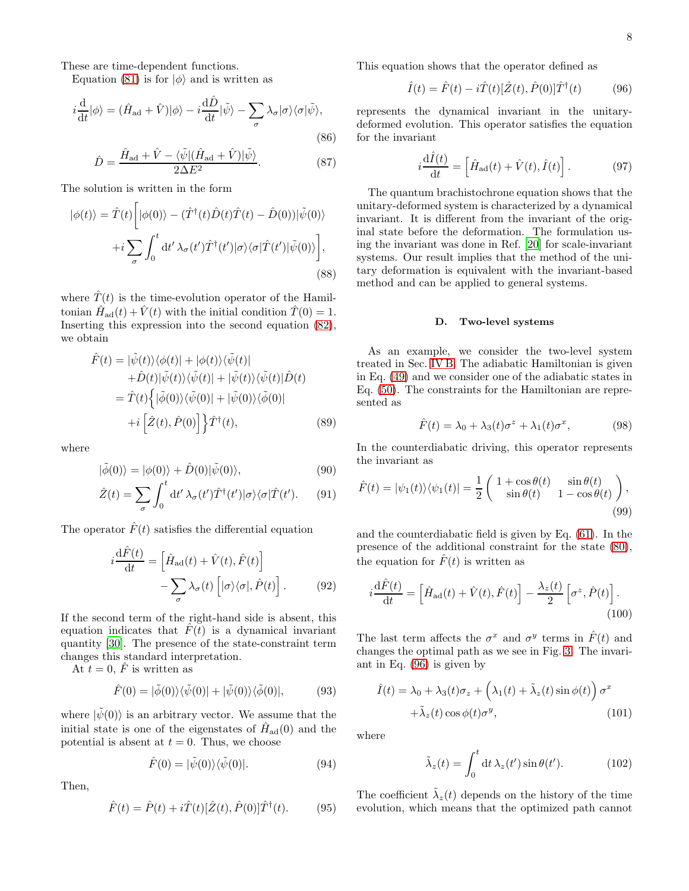These are time-dependent functions.

Equation [\(81\)](#page-6-0) is for  $|\phi\rangle$  and is written as

$$
i\frac{\mathrm{d}}{\mathrm{d}t}|\phi\rangle = (\hat{H}_{\text{ad}} + \hat{V})|\phi\rangle - i\frac{\mathrm{d}\hat{D}}{\mathrm{d}t}|\tilde{\psi}\rangle - \sum_{\sigma} \lambda_{\sigma}|\sigma\rangle\langle\sigma|\tilde{\psi}\rangle,\tag{86}
$$

$$
\hat{D} = \frac{\hat{H}_{\text{ad}} + \hat{V} - \langle \tilde{\psi} | (\hat{H}_{\text{ad}} + \hat{V}) | \tilde{\psi} \rangle}{2\Delta E^2}.
$$
\n(87)

The solution is written in the form

$$
|\phi(t)\rangle = \hat{T}(t) \left[ |\phi(0)\rangle - (\hat{T}^{\dagger}(t)\hat{D}(t)\hat{T}(t) - \hat{D}(0))| \tilde{\psi}(0) \rangle + i \sum_{\sigma} \int_{0}^{t} dt' \lambda_{\sigma}(t') \hat{T}^{\dagger}(t') |\sigma\rangle \langle \sigma | \hat{T}(t') | \tilde{\psi}(0) \rangle \right],
$$
\n(88)

where  $\hat{T}(t)$  is the time-evolution operator of the Hamiltonian  $\hat{H}_{ad}(t) + \hat{V}(t)$  with the initial condition  $\hat{T}(0) = 1$ . Inserting this expression into the second equation [\(82\)](#page-6-0), we obtain

$$
\hat{F}(t) = |\tilde{\psi}(t)\rangle\langle\phi(t)| + |\phi(t)\rangle\langle\tilde{\psi}(t)|
$$
  
+
$$
\hat{D}(t)|\tilde{\psi}(t)\rangle\langle\tilde{\psi}(t)| + |\tilde{\psi}(t)\rangle\langle\tilde{\psi}(t)|\hat{D}(t)
$$
  
=
$$
\hat{T}(t)\Big\{|\tilde{\phi}(0)\rangle\langle\tilde{\psi}(0)| + |\tilde{\psi}(0)\rangle\langle\tilde{\phi}(0)|
$$
  
+
$$
i\Big[\hat{Z}(t), \hat{P}(0)\Big]\Big\}\hat{T}^{\dagger}(t),
$$
(89)

where

$$
|\tilde{\phi}(0)\rangle = |\phi(0)\rangle + \hat{D}(0)|\tilde{\psi}(0)\rangle, \tag{90}
$$

$$
\hat{Z}(t) = \sum_{\sigma} \int_0^t dt' \,\lambda_{\sigma}(t') \hat{T}^{\dagger}(t') |\sigma\rangle\langle\sigma| \hat{T}(t'). \qquad (91)
$$

The operator  $\hat{F}(t)$  satisfies the differential equation

$$
i\frac{\mathrm{d}\hat{F}(t)}{\mathrm{d}t} = \left[\hat{H}_{\text{ad}}(t) + \hat{V}(t), \hat{F}(t)\right] - \sum_{\sigma} \lambda_{\sigma}(t) \left[|\sigma\rangle\langle\sigma|, \hat{P}(t)\right]. \tag{92}
$$

If the second term of the right-hand side is absent, this equation indicates that  $\hat{F}(t)$  is a dynamical invariant quantity [\[30\]](#page-9-0). The presence of the state-constraint term changes this standard interpretation.

At  $t = 0$ ,  $\hat{F}$  is written as

$$
\hat{F}(0) = |\tilde{\phi}(0)\rangle\langle\tilde{\psi}(0)| + |\tilde{\psi}(0)\rangle\langle\tilde{\phi}(0)|, \tag{93}
$$

where  $|\psi(0)\rangle$  is an arbitrary vector. We assume that the initial state is one of the eigenstates of  $\hat{H}_{ad}(0)$  and the potential is absent at  $t = 0$ . Thus, we choose

$$
\hat{F}(0) = |\tilde{\psi}(0)\rangle\langle\tilde{\psi}(0)|. \tag{94}
$$

Then,

$$
\hat{F}(t) = \hat{P}(t) + i\hat{T}(t)[\hat{Z}(t), \hat{P}(0)]\hat{T}^{\dagger}(t). \tag{95}
$$

This equation shows that the operator defined as

<span id="page-7-0"></span>
$$
\hat{I}(t) = \hat{F}(t) - i\hat{T}(t)[\hat{Z}(t), \hat{P}(0)]\hat{T}^{\dagger}(t)
$$
(96)

represents the dynamical invariant in the unitarydeformed evolution. This operator satisfies the equation for the invariant

$$
i\frac{\mathrm{d}\hat{I}(t)}{\mathrm{d}t} = \left[\hat{H}_{\text{ad}}(t) + \hat{V}(t), \hat{I}(t)\right].\tag{97}
$$

The quantum brachistochrone equation shows that the unitary-deformed system is characterized by a dynamical invariant. It is different from the invariant of the original state before the deformation. The formulation using the invariant was done in Ref. [\[20\]](#page-8-13) for scale-invariant systems. Our result implies that the method of the unitary deformation is equivalent with the invariant-based method and can be applied to general systems.

#### D. Two-level systems

As an example, we consider the two-level system treated in Sec. [IV B.](#page-4-6) The adiabatic Hamiltonian is given in Eq. [\(49\)](#page-4-7) and we consider one of the adiabatic states in Eq. [\(50\)](#page-4-8). The constraints for the Hamiltonian are represented as

$$
\hat{F}(t) = \lambda_0 + \lambda_3(t)\sigma^z + \lambda_1(t)\sigma^x, \tag{98}
$$

In the counterdiabatic driving, this operator represents the invariant as

$$
\hat{F}(t) = |\psi_1(t)\rangle\langle\psi_1(t)| = \frac{1}{2} \begin{pmatrix} 1 + \cos\theta(t) & \sin\theta(t) \\ \sin\theta(t) & 1 - \cos\theta(t) \end{pmatrix},
$$
\n(99)

and the counterdiabatic field is given by Eq. [\(61\)](#page-4-5). In the presence of the additional constraint for the state [\(80\)](#page-6-1), the equation for  $\hat{F}(t)$  is written as

$$
i\frac{\mathrm{d}\hat{F}(t)}{\mathrm{d}t} = \left[\hat{H}_{\rm ad}(t) + \hat{V}(t), \hat{F}(t)\right] - \frac{\lambda_z(t)}{2} \left[\sigma^z, \hat{P}(t)\right].\tag{100}
$$

The last term affects the  $\sigma^x$  and  $\sigma^y$  terms in  $\hat{F}(t)$  and changes the optimal path as we see in Fig. [3.](#page-5-3) The invariant in Eq. [\(96\)](#page-7-0) is given by

<span id="page-7-1"></span>
$$
\hat{I}(t) = \lambda_0 + \lambda_3(t)\sigma_z + \left(\lambda_1(t) + \tilde{\lambda}_z(t)\sin\phi(t)\right)\sigma^x
$$

$$
+ \tilde{\lambda}_z(t)\cos\phi(t)\sigma^y,
$$
(101)

where

$$
\tilde{\lambda}_z(t) = \int_0^t dt \,\lambda_z(t')\sin\theta(t'). \tag{102}
$$

The coefficient  $\tilde{\lambda}_z(t)$  depends on the history of the time evolution, which means that the optimized path cannot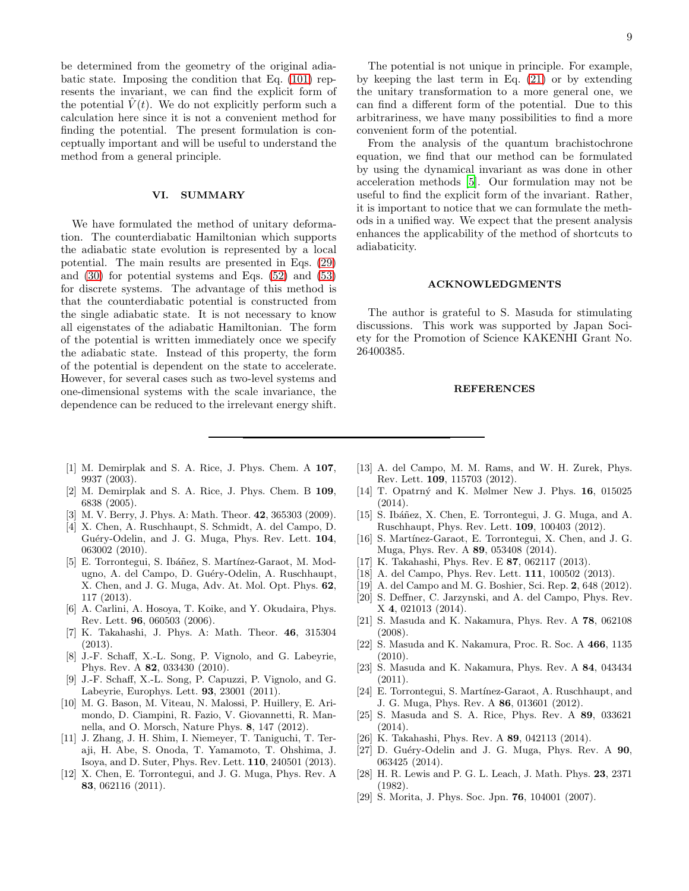be determined from the geometry of the original adiabatic state. Imposing the condition that Eq. [\(101\)](#page-7-1) represents the invariant, we can find the explicit form of the potential  $\hat{V}(t)$ . We do not explicitly perform such a calculation here since it is not a convenient method for finding the potential. The present formulation is conceptually important and will be useful to understand the method from a general principle.

#### <span id="page-8-16"></span>VI. SUMMARY

We have formulated the method of unitary deformation. The counterdiabatic Hamiltonian which supports the adiabatic state evolution is represented by a local potential. The main results are presented in Eqs. [\(29\)](#page-2-3) and [\(30\)](#page-2-4) for potential systems and Eqs. [\(52\)](#page-4-1) and [\(53\)](#page-4-2) for discrete systems. The advantage of this method is that the counterdiabatic potential is constructed from the single adiabatic state. It is not necessary to know all eigenstates of the adiabatic Hamiltonian. The form of the potential is written immediately once we specify the adiabatic state. Instead of this property, the form of the potential is dependent on the state to accelerate. However, for several cases such as two-level systems and one-dimensional systems with the scale invariance, the dependence can be reduced to the irrelevant energy shift.

convenient form of the potential. From the analysis of the quantum brachistochrone equation, we find that our method can be formulated by using the dynamical invariant as was done in other acceleration methods [\[5\]](#page-8-1). Our formulation may not be useful to find the explicit form of the invariant. Rather, it is important to notice that we can formulate the methods in a unified way. We expect that the present analysis enhances the applicability of the method of shortcuts to adiabaticity.

arbitrariness, we have many possibilities to find a more

#### ACKNOWLEDGMENTS

The author is grateful to S. Masuda for stimulating discussions. This work was supported by Japan Society for the Promotion of Science KAKENHI Grant No. 26400385.

#### REFERENCES

- <span id="page-8-0"></span>[1] M. Demirplak and S. A. Rice, J. Phys. Chem. A 107, 9937 (2003).
- [2] M. Demirplak and S. A. Rice, J. Phys. Chem. B 109, 6838 (2005).
- [3] M. V. Berry, J. Phys. A: Math. Theor. 42, 365303 (2009).
- [4] X. Chen, A. Ruschhaupt, S. Schmidt, A. del Campo, D. Guéry-Odelin, and J. G. Muga, Phys. Rev. Lett. 104, 063002 (2010).
- <span id="page-8-1"></span>[5] E. Torrontegui, S. Ibáñez, S. Martínez-Garaot, M. Modugno, A. del Campo, D. Guéry-Odelin, A. Ruschhaupt, X. Chen, and J. G. Muga, Adv. At. Mol. Opt. Phys. 62, 117 (2013).
- <span id="page-8-2"></span>[6] A. Carlini, A. Hosoya, T. Koike, and Y. Okudaira, Phys. Rev. Lett. 96, 060503 (2006).
- <span id="page-8-3"></span>[7] K. Takahashi, J. Phys. A: Math. Theor. 46, 315304 (2013).
- <span id="page-8-4"></span>[8] J.-F. Schaff, X.-L. Song, P. Vignolo, and G. Labeyrie, Phys. Rev. A 82, 033430 (2010).
- [9] J.-F. Schaff, X.-L. Song, P. Capuzzi, P. Vignolo, and G. Labeyrie, Europhys. Lett. 93, 23001 (2011).
- [10] M. G. Bason, M. Viteau, N. Malossi, P. Huillery, E. Arimondo, D. Ciampini, R. Fazio, V. Giovannetti, R. Mannella, and O. Morsch, Nature Phys. 8, 147 (2012).
- <span id="page-8-5"></span>[11] J. Zhang, J. H. Shim, I. Niemeyer, T. Taniguchi, T. Teraji, H. Abe, S. Onoda, T. Yamamoto, T. Ohshima, J. Isoya, and D. Suter, Phys. Rev. Lett. 110, 240501 (2013).
- <span id="page-8-6"></span>[12] X. Chen, E. Torrontegui, and J. G. Muga, Phys. Rev. A 83, 062116 (2011).
- <span id="page-8-7"></span>[13] A. del Campo, M. M. Rams, and W. H. Zurek, Phys. Rev. Lett. 109, 115703 (2012).
- <span id="page-8-8"></span>[14] T. Opatrný and K. Mølmer New J. Phys. 16, 015025 (2014).
- <span id="page-8-9"></span>[15] S. Ibáñez, X. Chen, E. Torrontegui, J. G. Muga, and A. Ruschhaupt, Phys. Rev. Lett. 109, 100403 (2012).
- <span id="page-8-10"></span>[16] S. Martínez-Garaot, E. Torrontegui, X. Chen, and J. G. Muga, Phys. Rev. A 89, 053408 (2014).
- <span id="page-8-11"></span>[17] K. Takahashi, Phys. Rev. E 87, 062117 (2013).
- <span id="page-8-12"></span>[18] A. del Campo, Phys. Rev. Lett. **111**, 100502 (2013).
- [19] A. del Campo and M. G. Boshier, Sci. Rep. 2, 648 (2012).
- <span id="page-8-13"></span>[20] S. Deffner, C. Jarzynski, and A. del Campo, Phys. Rev. X 4, 021013 (2014).
- <span id="page-8-14"></span>[21] S. Masuda and K. Nakamura, Phys. Rev. A 78, 062108 (2008).
- <span id="page-8-20"></span>[22] S. Masuda and K. Nakamura, Proc. R. Soc. A 466, 1135 (2010).
- <span id="page-8-21"></span>[23] S. Masuda and K. Nakamura, Phys. Rev. A 84, 043434 (2011).
- <span id="page-8-19"></span>[24] E. Torrontegui, S. Martínez-Garaot, A. Ruschhaupt, and J. G. Muga, Phys. Rev. A 86, 013601 (2012).
- [25] S. Masuda and S. A. Rice, Phys. Rev. A 89, 033621 (2014).
- <span id="page-8-15"></span>[26] K. Takahashi, Phys. Rev. A 89, 042113 (2014).
- <span id="page-8-17"></span>[27] D. Guéry-Odelin and J. G. Muga, Phys. Rev. A  $90$ , 063425 (2014).
- <span id="page-8-18"></span>[28] H. R. Lewis and P. G. L. Leach, J. Math. Phys. 23, 2371 (1982).
- <span id="page-8-22"></span>[29] S. Morita, J. Phys. Soc. Jpn. 76, 104001 (2007).